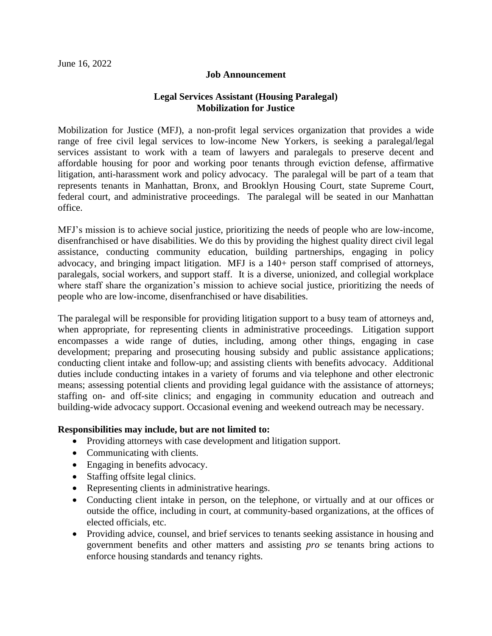### **Job Announcement**

## **Legal Services Assistant (Housing Paralegal) Mobilization for Justice**

Mobilization for Justice (MFJ), a non-profit legal services organization that provides a wide range of free civil legal services to low-income New Yorkers, is seeking a paralegal/legal services assistant to work with a team of lawyers and paralegals to preserve decent and affordable housing for poor and working poor tenants through eviction defense, affirmative litigation, anti-harassment work and policy advocacy. The paralegal will be part of a team that represents tenants in Manhattan, Bronx, and Brooklyn Housing Court, state Supreme Court, federal court, and administrative proceedings. The paralegal will be seated in our Manhattan office.

MFJ's mission is to achieve social justice, prioritizing the needs of people who are low-income, disenfranchised or have disabilities. We do this by providing the highest quality direct civil legal assistance, conducting community education, building partnerships, engaging in policy advocacy, and bringing impact litigation.MFJ is a 140+ person staff comprised of attorneys, paralegals, social workers, and support staff. It is a diverse, unionized, and collegial workplace where staff share the organization's mission to achieve social justice, prioritizing the needs of people who are low-income, disenfranchised or have disabilities.

The paralegal will be responsible for providing litigation support to a busy team of attorneys and, when appropriate, for representing clients in administrative proceedings. Litigation support encompasses a wide range of duties, including, among other things, engaging in case development; preparing and prosecuting housing subsidy and public assistance applications; conducting client intake and follow-up; and assisting clients with benefits advocacy. Additional duties include conducting intakes in a variety of forums and via telephone and other electronic means; assessing potential clients and providing legal guidance with the assistance of attorneys; staffing on- and off-site clinics; and engaging in community education and outreach and building-wide advocacy support. Occasional evening and weekend outreach may be necessary.

#### **Responsibilities may include, but are not limited to:**

- Providing attorneys with case development and litigation support.
- Communicating with clients.
- Engaging in benefits advocacy.
- Staffing offsite legal clinics.
- Representing clients in administrative hearings.
- Conducting client intake in person, on the telephone, or virtually and at our offices or outside the office, including in court, at community-based organizations, at the offices of elected officials, etc.
- Providing advice, counsel, and brief services to tenants seeking assistance in housing and government benefits and other matters and assisting *pro se* tenants bring actions to enforce housing standards and tenancy rights.